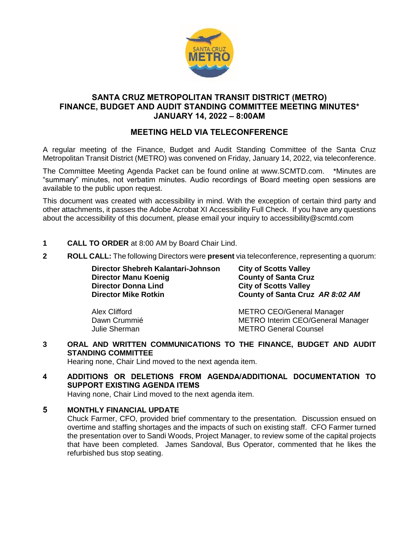

## **SANTA CRUZ METROPOLITAN TRANSIT DISTRICT (METRO) FINANCE, BUDGET AND AUDIT STANDING COMMITTEE MEETING MINUTES\* JANUARY 14, 2022 – 8:00AM**

# **MEETING HELD VIA TELECONFERENCE**

A regular meeting of the Finance, Budget and Audit Standing Committee of the Santa Cruz Metropolitan Transit District (METRO) was convened on Friday, January 14, 2022, via teleconference.

The Committee Meeting Agenda Packet can be found online at www.SCMTD.com. \*Minutes are "summary" minutes, not verbatim minutes. Audio recordings of Board meeting open sessions are available to the public upon request.

This document was created with accessibility in mind. With the exception of certain third party and other attachments, it passes the Adobe Acrobat XI Accessibility Full Check. If you have any questions about the accessibility of this document, please email your inquiry to accessibility@scmtd.com

- **1 CALL TO ORDER** at 8:00 AM by Board Chair Lind.
- **2 ROLL CALL:** The following Directors were **present** via teleconference, representing a quorum:

| Director Shebreh Kalantari-Johnson | <b>City of Scotts Valley</b>    |
|------------------------------------|---------------------------------|
| Director Manu Koenig               | <b>County of Santa Cruz</b>     |
| <b>Director Donna Lind</b>         | <b>City of Scotts Valley</b>    |
| <b>Director Mike Rotkin</b>        | County of Santa Cruz AR 8:02 AM |
|                                    |                                 |

Alex Clifford METRO CEO/General Manager Dawn Crummié METRO Interim CEO/General Manager Julie Sherman METRO General Counsel

**3 ORAL AND WRITTEN COMMUNICATIONS TO THE FINANCE, BUDGET AND AUDIT STANDING COMMITTEE**

Hearing none, Chair Lind moved to the next agenda item.

**4 ADDITIONS OR DELETIONS FROM AGENDA/ADDITIONAL DOCUMENTATION TO SUPPORT EXISTING AGENDA ITEMS** 

Having none, Chair Lind moved to the next agenda item.

### **5 MONTHLY FINANCIAL UPDATE**

Chuck Farmer, CFO, provided brief commentary to the presentation. Discussion ensued on overtime and staffing shortages and the impacts of such on existing staff. CFO Farmer turned the presentation over to Sandi Woods, Project Manager, to review some of the capital projects that have been completed. James Sandoval, Bus Operator, commented that he likes the refurbished bus stop seating.